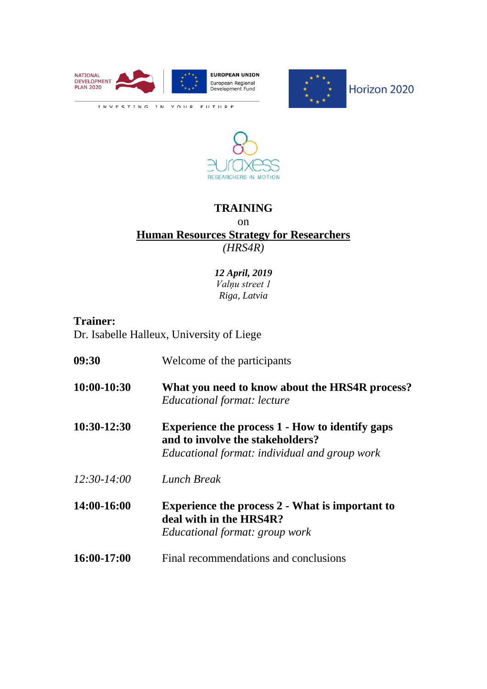





## **TRAINING** on **Human Resources Strategy for Researchers**  *(HRS4R)*

## *12 April, 2019 Valņu street 1 Riga, Latvia*

## **Trainer:**

Dr. Isabelle Halleux, University of Liege

**09:30** Welcome of the participants **10:00-10:30 What you need to know about the HRS4R process?** *Educational format: lecture* **10:30-12:30 Experience the process 1 - How to identify gaps and to involve the stakeholders?** *Educational format: individual and group work 12:30-14:00 Lunch Break* **14:00-16:00 Experience the process 2 - What is important to deal with in the HRS4R?** *Educational format: group work* **16:00-17:00** Final recommendations and conclusions